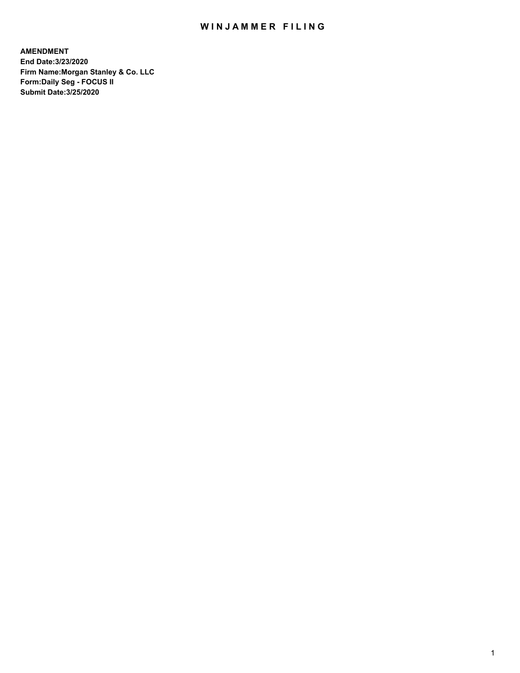## WIN JAMMER FILING

**AMENDMENT End Date:3/23/2020 Firm Name:Morgan Stanley & Co. LLC Form:Daily Seg - FOCUS II Submit Date:3/25/2020**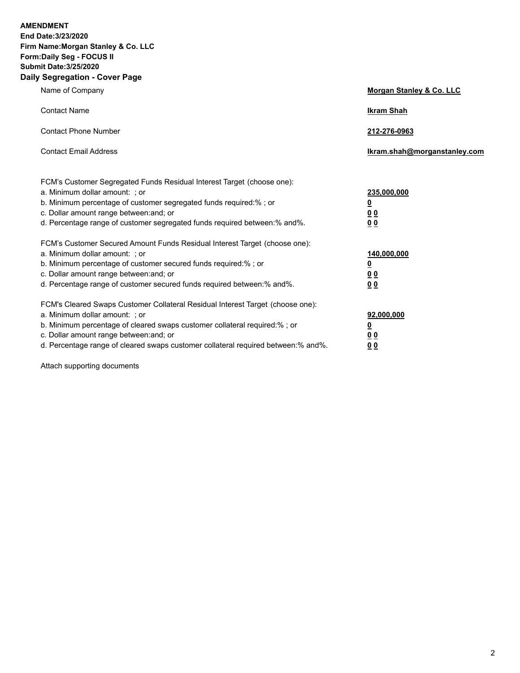**AMENDMENT End Date:3/23/2020 Firm Name:Morgan Stanley & Co. LLC Form:Daily Seg - FOCUS II Submit Date:3/25/2020 Daily Segregation - Cover Page**

| $0091090001 - 00101 + 090$                                                                                                                                                                                                                                                                                                     |                                                        |
|--------------------------------------------------------------------------------------------------------------------------------------------------------------------------------------------------------------------------------------------------------------------------------------------------------------------------------|--------------------------------------------------------|
| Name of Company                                                                                                                                                                                                                                                                                                                | Morgan Stanley & Co. LLC                               |
| <b>Contact Name</b>                                                                                                                                                                                                                                                                                                            | <b>Ikram Shah</b>                                      |
| <b>Contact Phone Number</b>                                                                                                                                                                                                                                                                                                    | 212-276-0963                                           |
| <b>Contact Email Address</b>                                                                                                                                                                                                                                                                                                   | Ikram.shah@morganstanley.com                           |
| FCM's Customer Segregated Funds Residual Interest Target (choose one):<br>a. Minimum dollar amount: ; or<br>b. Minimum percentage of customer segregated funds required:% ; or<br>c. Dollar amount range between: and; or<br>d. Percentage range of customer segregated funds required between:% and%.                         | 235,000,000<br><u>0</u><br><u>00</u><br>0 <sub>0</sub> |
| FCM's Customer Secured Amount Funds Residual Interest Target (choose one):<br>a. Minimum dollar amount: ; or<br>b. Minimum percentage of customer secured funds required:%; or<br>c. Dollar amount range between: and; or<br>d. Percentage range of customer secured funds required between:% and%.                            | 140,000,000<br><u>0</u><br><u>00</u><br>0 <sup>0</sup> |
| FCM's Cleared Swaps Customer Collateral Residual Interest Target (choose one):<br>a. Minimum dollar amount: ; or<br>b. Minimum percentage of cleared swaps customer collateral required:% ; or<br>c. Dollar amount range between: and; or<br>d. Percentage range of cleared swaps customer collateral required between:% and%. | 92,000,000<br><u>0</u><br><u>00</u><br>00              |

Attach supporting documents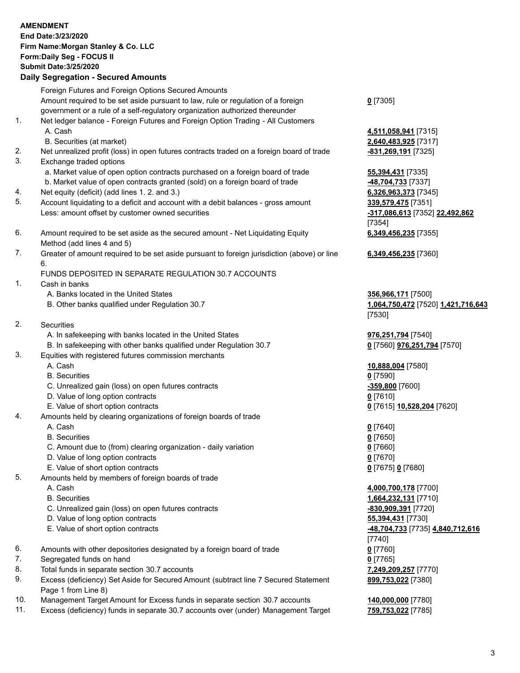|          | <b>AMENDMENT</b><br>End Date: 3/23/2020<br>Firm Name: Morgan Stanley & Co. LLC<br>Form: Daily Seg - FOCUS II<br><b>Submit Date: 3/25/2020</b><br><b>Daily Segregation - Secured Amounts</b>                                                                                                                |                                                                    |
|----------|------------------------------------------------------------------------------------------------------------------------------------------------------------------------------------------------------------------------------------------------------------------------------------------------------------|--------------------------------------------------------------------|
|          |                                                                                                                                                                                                                                                                                                            |                                                                    |
| 1.       | Foreign Futures and Foreign Options Secured Amounts<br>Amount required to be set aside pursuant to law, rule or regulation of a foreign<br>government or a rule of a self-regulatory organization authorized thereunder<br>Net ledger balance - Foreign Futures and Foreign Option Trading - All Customers | $0$ [7305]                                                         |
|          | A. Cash<br>B. Securities (at market)                                                                                                                                                                                                                                                                       | 4,511,058,941 [7315]<br>2,640,483,925 [7317]                       |
| 2.<br>3. | Net unrealized profit (loss) in open futures contracts traded on a foreign board of trade<br>Exchange traded options                                                                                                                                                                                       | -831,269,191 [7325]                                                |
|          | a. Market value of open option contracts purchased on a foreign board of trade<br>b. Market value of open contracts granted (sold) on a foreign board of trade                                                                                                                                             | 55,394,431 [7335]<br>48,704,733 [7337]                             |
| 4.       | Net equity (deficit) (add lines 1. 2. and 3.)                                                                                                                                                                                                                                                              | 6,326,963,373 [7345]                                               |
| 5.       | Account liquidating to a deficit and account with a debit balances - gross amount<br>Less: amount offset by customer owned securities                                                                                                                                                                      | 339,579,475 [7351]<br>-317,086,613 [7352] 22,492,862<br>[7354]     |
| 6.       | Amount required to be set aside as the secured amount - Net Liquidating Equity<br>Method (add lines 4 and 5)                                                                                                                                                                                               | 6,349,456,235 [7355]                                               |
| 7.       | Greater of amount required to be set aside pursuant to foreign jurisdiction (above) or line<br>6.                                                                                                                                                                                                          | 6,349,456,235 [7360]                                               |
|          | FUNDS DEPOSITED IN SEPARATE REGULATION 30.7 ACCOUNTS                                                                                                                                                                                                                                                       |                                                                    |
| 1.       | Cash in banks                                                                                                                                                                                                                                                                                              |                                                                    |
|          | A. Banks located in the United States<br>B. Other banks qualified under Regulation 30.7                                                                                                                                                                                                                    | 356,966,171 [7500]<br>1,064,750,472 [7520] 1,421,716,643<br>[7530] |
| 2.       | Securities                                                                                                                                                                                                                                                                                                 |                                                                    |
|          | A. In safekeeping with banks located in the United States                                                                                                                                                                                                                                                  | 976,251,794 [7540]                                                 |
| 3.       | B. In safekeeping with other banks qualified under Regulation 30.7<br>Equities with registered futures commission merchants                                                                                                                                                                                | 0 [7560] 976,251,794 [7570]                                        |
|          | A. Cash<br><b>B.</b> Securities                                                                                                                                                                                                                                                                            | 10,888,004 [7580]<br>$0$ [7590]                                    |
|          | C. Unrealized gain (loss) on open futures contracts                                                                                                                                                                                                                                                        | -359,800 [7600]                                                    |
|          | D. Value of long option contracts                                                                                                                                                                                                                                                                          | $0$ [7610]                                                         |
|          | E. Value of short option contracts                                                                                                                                                                                                                                                                         | 0 [7615] 10,528,204 [7620]                                         |
| 4.       | Amounts held by clearing organizations of foreign boards of trade                                                                                                                                                                                                                                          |                                                                    |
|          | A. Cash<br><b>B.</b> Securities                                                                                                                                                                                                                                                                            | $0$ [7640]                                                         |
|          | C. Amount due to (from) clearing organization - daily variation                                                                                                                                                                                                                                            | $0$ [7650]<br>$0$ [7660]                                           |
|          | D. Value of long option contracts                                                                                                                                                                                                                                                                          | $0$ [7670]                                                         |
|          | E. Value of short option contracts                                                                                                                                                                                                                                                                         | 0 [7675] 0 [7680]                                                  |
| 5.       | Amounts held by members of foreign boards of trade                                                                                                                                                                                                                                                         |                                                                    |
|          | A. Cash                                                                                                                                                                                                                                                                                                    | 4,000,700,178 [7700]                                               |
|          | <b>B.</b> Securities                                                                                                                                                                                                                                                                                       | 1,664,232,131 [7710]                                               |
|          | C. Unrealized gain (loss) on open futures contracts                                                                                                                                                                                                                                                        | -830,909,391 [7720]                                                |
|          | D. Value of long option contracts<br>E. Value of short option contracts                                                                                                                                                                                                                                    | 55,394,431 [7730]<br>-48,704,733 [7735] 4,840,712,616<br>[7740]    |
| 6.       | Amounts with other depositories designated by a foreign board of trade                                                                                                                                                                                                                                     | $0$ [7760]                                                         |
| 7.       | Segregated funds on hand                                                                                                                                                                                                                                                                                   | $0$ [7765]                                                         |
| 8.       | Total funds in separate section 30.7 accounts                                                                                                                                                                                                                                                              | 7,249,209,257 [7770]                                               |
| 9.       | Excess (deficiency) Set Aside for Secured Amount (subtract line 7 Secured Statement<br>Page 1 from Line 8)                                                                                                                                                                                                 | 899,753,022 [7380]                                                 |
| 10.      | Management Target Amount for Excess funds in separate section 30.7 accounts                                                                                                                                                                                                                                | 140,000,000 [7780]                                                 |
| 11.      | Excess (deficiency) funds in separate 30.7 accounts over (under) Management Target                                                                                                                                                                                                                         | 759,753,022 [7785]                                                 |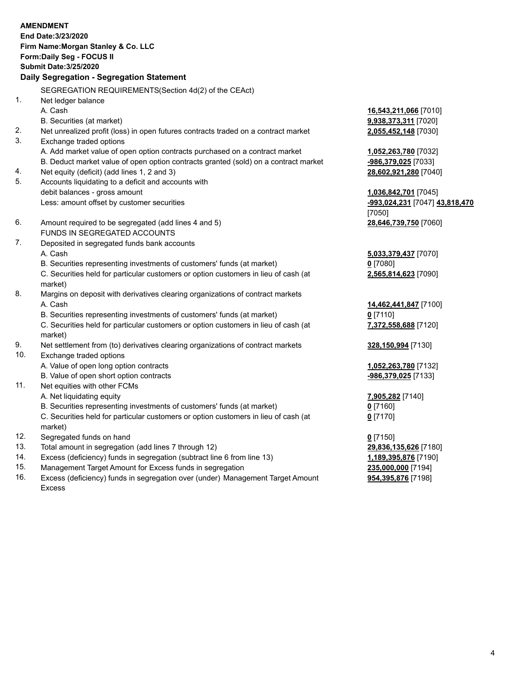|          | <b>AMENDMENT</b><br>End Date: 3/23/2020<br>Firm Name: Morgan Stanley & Co. LLC                 |                                |
|----------|------------------------------------------------------------------------------------------------|--------------------------------|
|          | Form: Daily Seg - FOCUS II<br><b>Submit Date: 3/25/2020</b>                                    |                                |
|          | Daily Segregation - Segregation Statement                                                      |                                |
|          |                                                                                                |                                |
|          | SEGREGATION REQUIREMENTS(Section 4d(2) of the CEAct)                                           |                                |
| 1.       | Net ledger balance                                                                             |                                |
|          | A. Cash                                                                                        | 16,543,211,066 [7010]          |
|          | B. Securities (at market)                                                                      | 9,938,373,311 [7020]           |
| 2.       | Net unrealized profit (loss) in open futures contracts traded on a contract market             | 2,055,452,148 [7030]           |
| 3.       | Exchange traded options                                                                        |                                |
|          | A. Add market value of open option contracts purchased on a contract market                    | 1,052,263,780 [7032]           |
|          | B. Deduct market value of open option contracts granted (sold) on a contract market            | -986,379,025 [7033]            |
| 4.<br>5. | Net equity (deficit) (add lines 1, 2 and 3)                                                    | 28,602,921,280 [7040]          |
|          | Accounts liquidating to a deficit and accounts with<br>debit balances - gross amount           | 1,036,842,701 [7045]           |
|          | Less: amount offset by customer securities                                                     | -993,024,231 [7047] 43,818,470 |
|          |                                                                                                | [7050]                         |
| 6.       | Amount required to be segregated (add lines 4 and 5)                                           | 28,646,739,750 [7060]          |
|          | FUNDS IN SEGREGATED ACCOUNTS                                                                   |                                |
| 7.       | Deposited in segregated funds bank accounts                                                    |                                |
|          | A. Cash                                                                                        | 5,033,379,437 [7070]           |
|          | B. Securities representing investments of customers' funds (at market)                         | $0$ [7080]                     |
|          | C. Securities held for particular customers or option customers in lieu of cash (at            | 2,565,814,623 [7090]           |
|          | market)                                                                                        |                                |
| 8.       | Margins on deposit with derivatives clearing organizations of contract markets                 |                                |
|          | A. Cash                                                                                        | 14,462,441,847 [7100]          |
|          | B. Securities representing investments of customers' funds (at market)                         | $0$ [7110]                     |
|          | C. Securities held for particular customers or option customers in lieu of cash (at            | 7,372,558,688 [7120]           |
|          | market)                                                                                        |                                |
| 9.       | Net settlement from (to) derivatives clearing organizations of contract markets                | 328,150,994 [7130]             |
| 10.      | Exchange traded options                                                                        |                                |
|          | A. Value of open long option contracts                                                         | 1,052,263,780 [7132]           |
|          | B. Value of open short option contracts                                                        | -986,379,025 [7133]            |
| 11.      | Net equities with other FCMs                                                                   |                                |
|          | A. Net liquidating equity                                                                      | 7,905,282 [7140]               |
|          | B. Securities representing investments of customers' funds (at market)                         | 0 [7160]                       |
|          | C. Securities held for particular customers or option customers in lieu of cash (at<br>market) | $0$ [7170]                     |
| 12.      | Segregated funds on hand                                                                       | $0$ [7150]                     |
| 13.      | Total amount in segregation (add lines 7 through 12)                                           | 29,836,135,626 [7180]          |
| 14.      | Excess (deficiency) funds in segregation (subtract line 6 from line 13)                        | 1,189,395,876 [7190]           |
|          |                                                                                                |                                |

- 
- 15. Management Target Amount for Excess funds in segregation<br>16. Excess (deficiency) funds in segregation over (under) Management Target Amount **235,000,000** [7198] Excess (deficiency) funds in segregation over (under) Management Target Amount Excess

**954,395,876** [7198]